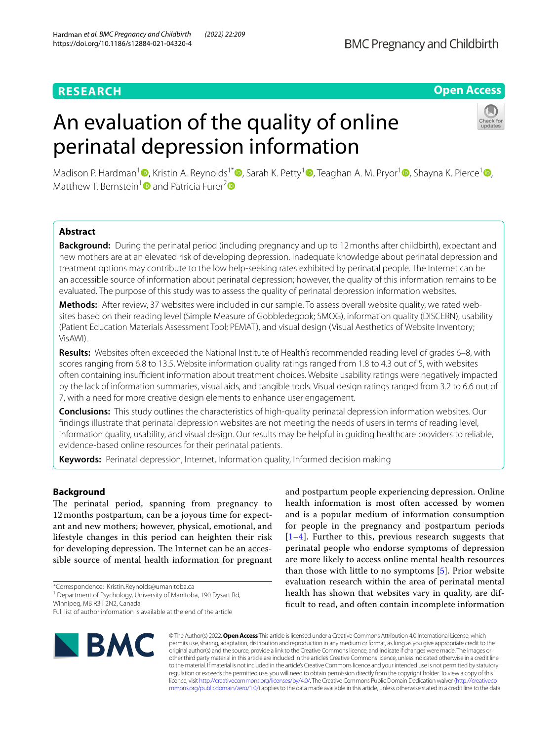# **RESEARCH**

## **Open Access**

# An evaluation of the quality of online perinatal depression information



Madison P. Hardman<sup>1</sup> [,](https://orcid.org/0000-0001-9755-3274) Kristin A. Reynolds<sup>1\*</sup> [,](https://orcid.org/0000-0003-3207-201X) Sarah K. Petty<sup>[1](https://orcid.org/0000-0002-5490-6495)</sup> , Teaghan A. M. Pryor<sup>1</sup> , Shayna K. Pierce<sup>1</sup> , Matthew T. Bernstein<sup>[1](https://orcid.org/0000-0002-9066-733X)</sup> and Patricia Furer<sup>[2](https://orcid.org/0000-0003-1662-7396)</sup>

## **Abstract**

**Background:** During the perinatal period (including pregnancy and up to 12months after childbirth), expectant and new mothers are at an elevated risk of developing depression. Inadequate knowledge about perinatal depression and treatment options may contribute to the low help-seeking rates exhibited by perinatal people. The Internet can be an accessible source of information about perinatal depression; however, the quality of this information remains to be evaluated. The purpose of this study was to assess the quality of perinatal depression information websites.

**Methods:** After review, 37 websites were included in our sample. To assess overall website quality, we rated websites based on their reading level (Simple Measure of Gobbledegook; SMOG), information quality (DISCERN), usability (Patient Education Materials Assessment Tool; PEMAT), and visual design (Visual Aesthetics of Website Inventory; VisAWI).

**Results:** Websites often exceeded the National Institute of Health's recommended reading level of grades 6–8, with scores ranging from 6.8 to 13.5. Website information quality ratings ranged from 1.8 to 4.3 out of 5, with websites often containing insufcient information about treatment choices. Website usability ratings were negatively impacted by the lack of information summaries, visual aids, and tangible tools. Visual design ratings ranged from 3.2 to 6.6 out of 7, with a need for more creative design elements to enhance user engagement.

**Conclusions:** This study outlines the characteristics of high-quality perinatal depression information websites. Our fndings illustrate that perinatal depression websites are not meeting the needs of users in terms of reading level, information quality, usability, and visual design. Our results may be helpful in guiding healthcare providers to reliable, evidence-based online resources for their perinatal patients.

**Keywords:** Perinatal depression, Internet, Information quality, Informed decision making

## **Background**

The perinatal period, spanning from pregnancy to 12 months postpartum, can be a joyous time for expectant and new mothers; however, physical, emotional, and lifestyle changes in this period can heighten their risk for developing depression. The Internet can be an accessible source of mental health information for pregnant

\*Correspondence: Kristin.Reynolds@umanitoba.ca

<sup>1</sup> Department of Psychology, University of Manitoba, 190 Dysart Rd,

Winnipeg, MB R3T 2N2, Canada

Full list of author information is available at the end of the article



and postpartum people experiencing depression. Online health information is most often accessed by women and is a popular medium of information consumption for people in the pregnancy and postpartum periods [[1](#page-8-0)–[4](#page-8-1)]. Further to this, previous research suggests that perinatal people who endorse symptoms of depression are more likely to access online mental health resources than those with little to no symptoms [[5\]](#page-8-2). Prior website evaluation research within the area of perinatal mental health has shown that websites vary in quality, are diffcult to read, and often contain incomplete information

© The Author(s) 2022. **Open Access** This article is licensed under a Creative Commons Attribution 4.0 International License, which permits use, sharing, adaptation, distribution and reproduction in any medium or format, as long as you give appropriate credit to the original author(s) and the source, provide a link to the Creative Commons licence, and indicate if changes were made. The images or other third party material in this article are included in the article's Creative Commons licence, unless indicated otherwise in a credit line to the material. If material is not included in the article's Creative Commons licence and your intended use is not permitted by statutory regulation or exceeds the permitted use, you will need to obtain permission directly from the copyright holder. To view a copy of this licence, visit [http://creativecommons.org/licenses/by/4.0/.](http://creativecommons.org/licenses/by/4.0/) The Creative Commons Public Domain Dedication waiver ([http://creativeco](http://creativecommons.org/publicdomain/zero/1.0/) [mmons.org/publicdomain/zero/1.0/](http://creativecommons.org/publicdomain/zero/1.0/)) applies to the data made available in this article, unless otherwise stated in a credit line to the data.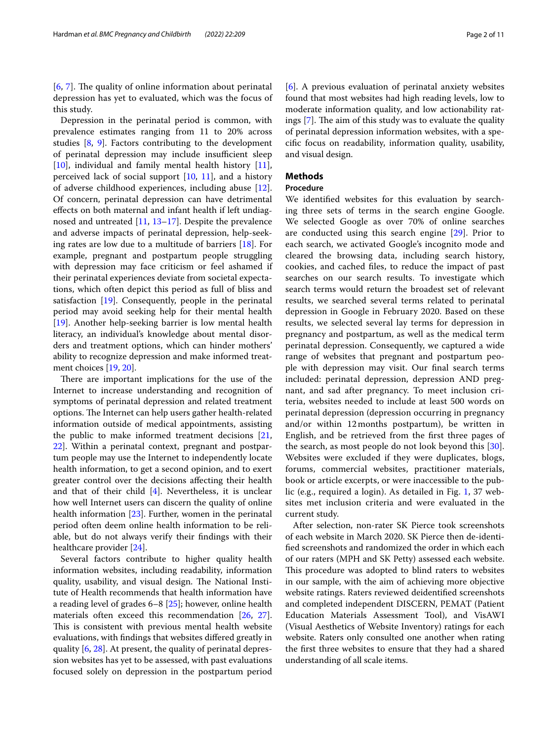$[6, 7]$  $[6, 7]$  $[6, 7]$  $[6, 7]$  $[6, 7]$ . The quality of online information about perinatal depression has yet to evaluated, which was the focus of this study.

Depression in the perinatal period is common, with prevalence estimates ranging from 11 to 20% across studies [[8,](#page-9-1) [9\]](#page-9-2). Factors contributing to the development of perinatal depression may include insufficient sleep [[10\]](#page-9-3), individual and family mental health history [\[11](#page-9-4)], perceived lack of social support  $[10, 11]$  $[10, 11]$  $[10, 11]$  $[10, 11]$ , and a history of adverse childhood experiences, including abuse [\[12](#page-9-5)]. Of concern, perinatal depression can have detrimental efects on both maternal and infant health if left undiagnosed and untreated [[11,](#page-9-4) [13–](#page-9-6)[17](#page-9-7)]. Despite the prevalence and adverse impacts of perinatal depression, help-seeking rates are low due to a multitude of barriers [\[18](#page-9-8)]. For example, pregnant and postpartum people struggling with depression may face criticism or feel ashamed if their perinatal experiences deviate from societal expectations, which often depict this period as full of bliss and satisfaction [[19](#page-9-9)]. Consequently, people in the perinatal period may avoid seeking help for their mental health [[19\]](#page-9-9). Another help-seeking barrier is low mental health literacy, an individual's knowledge about mental disorders and treatment options, which can hinder mothers' ability to recognize depression and make informed treatment choices [\[19,](#page-9-9) [20](#page-9-10)].

There are important implications for the use of the Internet to increase understanding and recognition of symptoms of perinatal depression and related treatment options. The Internet can help users gather health-related information outside of medical appointments, assisting the public to make informed treatment decisions [\[21](#page-9-11), [22\]](#page-9-12). Within a perinatal context, pregnant and postpartum people may use the Internet to independently locate health information, to get a second opinion, and to exert greater control over the decisions afecting their health and that of their child  $[4]$ . Nevertheless, it is unclear how well Internet users can discern the quality of online health information [\[23](#page-9-13)]. Further, women in the perinatal period often deem online health information to be reliable, but do not always verify their fndings with their healthcare provider [\[24\]](#page-9-14).

Several factors contribute to higher quality health information websites, including readability, information quality, usability, and visual design. The National Institute of Health recommends that health information have a reading level of grades 6–8 [[25\]](#page-9-15); however, online health materials often exceed this recommendation [\[26,](#page-9-16) [27](#page-9-17)]. This is consistent with previous mental health website evaluations, with fndings that websites difered greatly in quality [\[6](#page-8-3), [28\]](#page-9-18). At present, the quality of perinatal depression websites has yet to be assessed, with past evaluations focused solely on depression in the postpartum period

[[6\]](#page-8-3). A previous evaluation of perinatal anxiety websites found that most websites had high reading levels, low to moderate information quality, and low actionability ratings  $[7]$  $[7]$ . The aim of this study was to evaluate the quality of perinatal depression information websites, with a specifc focus on readability, information quality, usability, and visual design.

## **Methods**

## **Procedure**

We identifed websites for this evaluation by searching three sets of terms in the search engine Google. We selected Google as over 70% of online searches are conducted using this search engine [\[29](#page-9-19)]. Prior to each search, we activated Google's incognito mode and cleared the browsing data, including search history, cookies, and cached fles, to reduce the impact of past searches on our search results. To investigate which search terms would return the broadest set of relevant results, we searched several terms related to perinatal depression in Google in February 2020. Based on these results, we selected several lay terms for depression in pregnancy and postpartum, as well as the medical term perinatal depression. Consequently, we captured a wide range of websites that pregnant and postpartum people with depression may visit. Our fnal search terms included: perinatal depression, depression AND pregnant, and sad after pregnancy. To meet inclusion criteria, websites needed to include at least 500 words on perinatal depression (depression occurring in pregnancy and/or within 12months postpartum), be written in English, and be retrieved from the frst three pages of the search, as most people do not look beyond this [\[30](#page-9-20)]. Websites were excluded if they were duplicates, blogs, forums, commercial websites, practitioner materials, book or article excerpts, or were inaccessible to the public (e.g., required a login). As detailed in Fig. [1](#page-2-0), 37 websites met inclusion criteria and were evaluated in the current study.

After selection, non-rater SK Pierce took screenshots of each website in March 2020. SK Pierce then de-identifed screenshots and randomized the order in which each of our raters (MPH and SK Petty) assessed each website. This procedure was adopted to blind raters to websites in our sample, with the aim of achieving more objective website ratings. Raters reviewed deidentifed screenshots and completed independent DISCERN, PEMAT (Patient Education Materials Assessment Tool), and VisAWI (Visual Aesthetics of Website Inventory) ratings for each website. Raters only consulted one another when rating the frst three websites to ensure that they had a shared understanding of all scale items.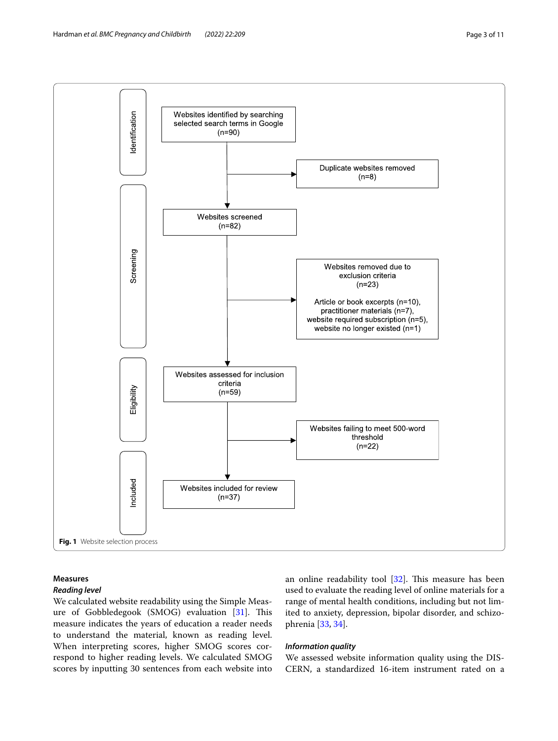



## <span id="page-2-0"></span>**Measures**

## *Reading level*

We calculated website readability using the Simple Meas-ure of Gobbledegook (SMOG) evaluation [\[31](#page-9-21)]. This measure indicates the years of education a reader needs to understand the material, known as reading level. When interpreting scores, higher SMOG scores correspond to higher reading levels. We calculated SMOG scores by inputting 30 sentences from each website into an online readability tool  $[32]$  $[32]$ . This measure has been used to evaluate the reading level of online materials for a range of mental health conditions, including but not limited to anxiety, depression, bipolar disorder, and schizophrenia [[33](#page-9-23), [34\]](#page-9-24).

## *Information quality*

We assessed website information quality using the DIS-CERN, a standardized 16-item instrument rated on a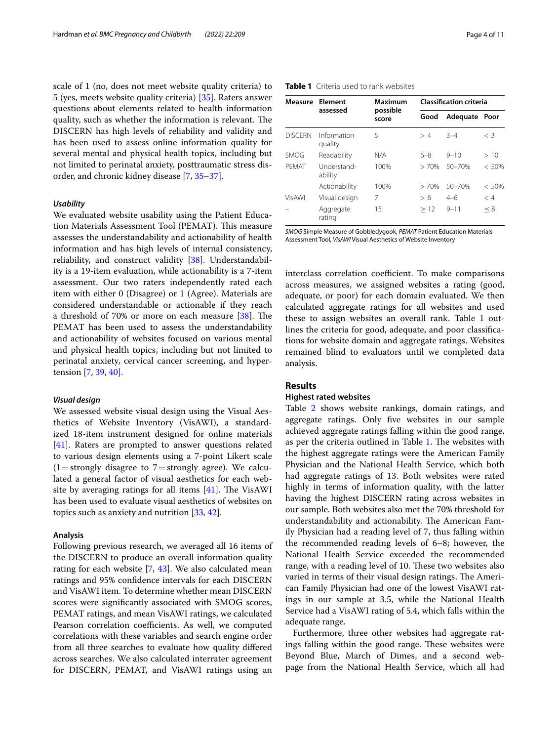scale of 1 (no, does not meet website quality criteria) to 5 (yes, meets website quality criteria) [\[35](#page-9-25)]. Raters answer questions about elements related to health information quality, such as whether the information is relevant. The DISCERN has high levels of reliability and validity and has been used to assess online information quality for several mental and physical health topics, including but not limited to perinatal anxiety, posttraumatic stress disorder, and chronic kidney disease [\[7](#page-9-0), [35–](#page-9-25)[37](#page-9-26)].

#### *Usability*

We evaluated website usability using the Patient Education Materials Assessment Tool (PEMAT). This measure assesses the understandability and actionability of health information and has high levels of internal consistency, reliability, and construct validity [[38\]](#page-9-27). Understandability is a 19-item evaluation, while actionability is a 7-item assessment. Our two raters independently rated each item with either 0 (Disagree) or 1 (Agree). Materials are considered understandable or actionable if they reach a threshold of 70% or more on each measure  $[38]$  $[38]$ . The PEMAT has been used to assess the understandability and actionability of websites focused on various mental and physical health topics, including but not limited to perinatal anxiety, cervical cancer screening, and hypertension [\[7](#page-9-0), [39,](#page-9-28) [40\]](#page-9-29).

### *Visual design*

We assessed website visual design using the Visual Aesthetics of Website Inventory (VisAWI), a standardized 18-item instrument designed for online materials [[41\]](#page-9-30). Raters are prompted to answer questions related to various design elements using a 7-point Likert scale  $(1=$ strongly disagree to  $7=$ strongly agree). We calculated a general factor of visual aesthetics for each website by averaging ratings for all items  $[41]$  $[41]$ . The VisAWI has been used to evaluate visual aesthetics of websites on topics such as anxiety and nutrition [\[33](#page-9-23), [42](#page-9-31)].

## **Analysis**

Following previous research, we averaged all 16 items of the DISCERN to produce an overall information quality rating for each website [\[7](#page-9-0), [43](#page-9-32)]. We also calculated mean ratings and 95% confdence intervals for each DISCERN and VisAWI item. To determine whether mean DISCERN scores were signifcantly associated with SMOG scores, PEMAT ratings, and mean VisAWI ratings, we calculated Pearson correlation coefficients. As well, we computed correlations with these variables and search engine order from all three searches to evaluate how quality difered across searches. We also calculated interrater agreement for DISCERN, PEMAT, and VisAWI ratings using an

## <span id="page-3-0"></span>**Table 1** Criteria used to rank websites

| Measure        | Element<br>assessed    | Maximum           | <b>Classification criteria</b> |            |          |  |
|----------------|------------------------|-------------------|--------------------------------|------------|----------|--|
|                |                        | possible<br>score | Good                           | Adequate   | Poor     |  |
| <b>DISCERN</b> | Information<br>quality | 5                 | >4                             | $3 - 4$    | $<$ 3    |  |
| SMOG           | Readability            | N/A               | 6–8                            | $9 - 10$   | > 10     |  |
| PFMAT          | Understand-<br>ability | 100%              | >70%                           | $50 - 70%$ | $< 50\%$ |  |
|                | Actionability          | 100%              | >70%                           | $50 - 70%$ | $< 50\%$ |  |
| VisAWI         | Visual design          | 7                 | > 6                            | $4 - 6$    | < 4      |  |
|                | Aggregate<br>rating    | 15                | >12                            | $9 - 11$   | < 8      |  |

*SMOG* Simple Measure of Gobbledygook, *PEMAT* Patient Education Materials Assessment Tool, *VisAWI* Visual Aesthetics of Website Inventory

interclass correlation coefficient. To make comparisons across measures, we assigned websites a rating (good, adequate, or poor) for each domain evaluated. We then calculated aggregate ratings for all websites and used these to assign websites an overall rank. Table [1](#page-3-0) outlines the criteria for good, adequate, and poor classifcations for website domain and aggregate ratings. Websites remained blind to evaluators until we completed data analysis.

## **Results**

## **Highest rated websites**

Table [2](#page-4-0) shows website rankings, domain ratings, and aggregate ratings. Only fve websites in our sample achieved aggregate ratings falling within the good range, as per the criteria outlined in Table [1](#page-3-0). The websites with the highest aggregate ratings were the American Family Physician and the National Health Service, which both had aggregate ratings of 13. Both websites were rated highly in terms of information quality, with the latter having the highest DISCERN rating across websites in our sample. Both websites also met the 70% threshold for understandability and actionability. The American Family Physician had a reading level of 7, thus falling within the recommended reading levels of 6–8; however, the National Health Service exceeded the recommended range, with a reading level of 10. These two websites also varied in terms of their visual design ratings. The American Family Physician had one of the lowest VisAWI ratings in our sample at 3.5, while the National Health Service had a VisAWI rating of 5.4, which falls within the adequate range.

Furthermore, three other websites had aggregate ratings falling within the good range. These websites were Beyond Blue, March of Dimes, and a second webpage from the National Health Service, which all had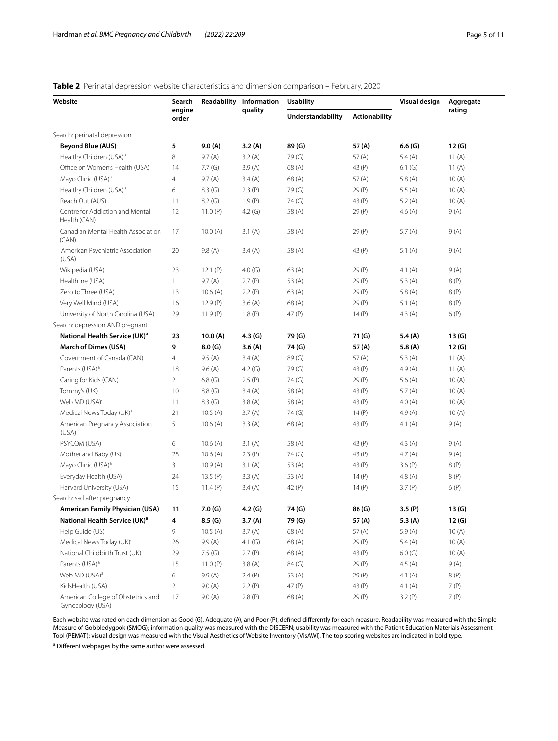## <span id="page-4-0"></span>**Table 2** Perinatal depression website characteristics and dimension comparison – February, 2020

| Website                                                | Search<br>engine<br>order | Readability | Information<br>quality | <b>Usability</b>  |                      | Visual design | Aggregate |
|--------------------------------------------------------|---------------------------|-------------|------------------------|-------------------|----------------------|---------------|-----------|
|                                                        |                           |             |                        | Understandability | <b>Actionability</b> |               | rating    |
| Search: perinatal depression                           |                           |             |                        |                   |                      |               |           |
| <b>Beyond Blue (AUS)</b>                               | 5                         | 9.0(A)      | 3.2(A)                 | 89 (G)            | 57 (A)               | 6.6(G)        | 12(G)     |
| Healthy Children (USA) <sup>a</sup>                    | 8                         | 9.7(A)      | 3.2(A)                 | 79 (G)            | 57(A)                | 5.4 $(A)$     | 11 $(A)$  |
| Office on Women's Health (USA)                         | 14                        | 7.7(G)      | 3.9(A)                 | 68(A)             | 43 (P)               | 6.1(G)        | 11 $(A)$  |
| Mayo Clinic (USA) <sup>a</sup>                         | 4                         | 9.7(A)      | 3.4(A)                 | 68(A)             | 57 (A)               | 5.8 $(A)$     | 10(A)     |
| Healthy Children (USA) <sup>a</sup>                    | 6                         | 8.3(G)      | 2.3(P)                 | 79 (G)            | 29 (P)               | 5.5 $(A)$     | 10(A)     |
| Reach Out (AUS)                                        | 11                        | 8.2(G)      | 1.9(P)                 | 74 (G)            | 43 (P)               | 5.2 $(A)$     | 10(A)     |
| Centre for Addiction and Mental<br>Health (CAN)        | 12                        | 11.0 $(P)$  | 4.2 $(G)$              | 58 (A)            | 29 (P)               | 4.6 $(A)$     | 9(A)      |
| Canadian Mental Health Association<br>(CAN)            | 17                        | 10.0(A)     | 3.1(A)                 | 58 (A)            | 29 (P)               | 5.7 $(A)$     | 9(A)      |
| American Psychiatric Association<br>(USA)              | 20                        | 9.8(A)      | 3.4(A)                 | 58 (A)            | 43 (P)               | 5.1 $(A)$     | 9(A)      |
| Wikipedia (USA)                                        | 23                        | 12.1 $(P)$  | 4.0 $(G)$              | 63 (A)            | 29 (P)               | 4.1 $(A)$     | 9(A)      |
| Healthline (USA)                                       | $\mathbf{1}$              | 9.7(A)      | 2.7(P)                 | 53 (A)            | 29 (P)               | 5.3 $(A)$     | 8 (P)     |
| Zero to Three (USA)                                    | 13                        | 10.6(A)     | 2.2(P)                 | 63(A)             | 29 (P)               | 5.8 $(A)$     | 8 (P)     |
| Very Well Mind (USA)                                   | 16                        | 12.9(P)     | 3.6(A)                 | 68 (A)            | 29 (P)               | 5.1 $(A)$     | 8(P)      |
| University of North Carolina (USA)                     | 29                        | 11.9(P)     | 1.8(P)                 | 47 (P)            | 14 $(P)$             | 4.3 $(A)$     | 6(P)      |
| Search: depression AND pregnant                        |                           |             |                        |                   |                      |               |           |
| National Health Service (UK) <sup>a</sup>              | 23                        | 10.0(A)     | 4.3(G)                 | 79 (G)            | 71 (G)               | 5.4 $(A)$     | 13(G)     |
| <b>March of Dimes (USA)</b>                            | 9                         | 8.0(G)      | 3.6(A)                 | 74 (G)            | 57(A)                | 5.8(A)        | 12(G)     |
| Government of Canada (CAN)                             | 4                         | 9.5(A)      | 3.4(A)                 | 89 (G)            | 57 (A)               | 5.3 $(A)$     | 11 $(A)$  |
| Parents (USA) <sup>a</sup>                             | 18                        | 9.6(A)      | 4.2(G)                 | 79 (G)            | 43 (P)               | 4.9(A)        | 11 $(A)$  |
| Caring for Kids (CAN)                                  | $\overline{2}$            | 6.8(G)      | 2.5(P)                 | 74 (G)            | 29 (P)               | 5.6 $(A)$     | 10(A)     |
| Tommy's (UK)                                           | 10                        | 8.8(G)      | 3.4(A)                 | 58 (A)            | 43 (P)               | 5.7 $(A)$     | 10(A)     |
| Web MD (USA) <sup>a</sup>                              | 11                        | 8.3(G)      | 3.8(A)                 | 58 (A)            | 43 (P)               | 4.0(A)        | 10(A)     |
| Medical News Today (UK) <sup>a</sup>                   | 21                        | 10.5(A)     | 3.7(A)                 | 74 (G)            | 14 $(P)$             | 4.9(A)        | 10(A)     |
| American Pregnancy Association<br>(USA)                | 5                         | 10.6(A)     | 3.3(A)                 | 68(A)             | 43 (P)               | 4.1 $(A)$     | 9(A)      |
| PSYCOM (USA)                                           | 6                         | 10.6(A)     | 3.1(A)                 | 58 (A)            | 43 (P)               | 4.3 $(A)$     | 9(A)      |
| Mother and Baby (UK)                                   | 28                        | 10.6(A)     | 2.3(P)                 | 74 (G)            | 43 (P)               | 4.7(A)        | 9(A)      |
| Mayo Clinic (USA) <sup>a</sup>                         | 3                         | 10.9(A)     | 3.1(A)                 | 53 (A)            | 43 (P)               | 3.6(P)        | 8 (P)     |
| Everyday Health (USA)                                  | 24                        | 13.5(P)     | 3.3(A)                 | 53(A)             | 14(P)                | 4.8 $(A)$     | 8(P)      |
| Harvard University (USA)                               | 15                        | 11.4 $(P)$  | 3.4(A)                 | 42 (P)            | 14 $(P)$             | 3.7(P)        | 6(P)      |
| Search: sad after pregnancy                            |                           |             |                        |                   |                      |               |           |
| American Family Physician (USA)                        | 11                        | 7.0(G)      | 4.2 (G)                | 74 (G)            | 86 (G)               | 3.5(P)        | 13(G)     |
| National Health Service (UK) <sup>a</sup>              | 4                         | 8.5(G)      | 3.7(A)                 | 79 (G)            | 57 (A)               | 5.3 $(A)$     | 12(G)     |
| Help Guide (US)                                        | 9                         | 10.5(A)     | 3.7(A)                 | 68(A)             | 57(A)                | 5.9(A)        | 10(A)     |
| Medical News Today (UK) <sup>a</sup>                   | 26                        | 9.9(A)      | 4.1 $(G)$              | 68(A)             | 29 (P)               | 5.4 $(A)$     | 10(A)     |
| National Childbirth Trust (UK)                         | 29                        | 7.5(G)      | 2.7(P)                 | 68(A)             | 43 (P)               | 6.0(G)        | 10(A)     |
| Parents (USA) <sup>a</sup>                             | 15                        | 11.0 $(P)$  | 3.8(A)                 | 84 (G)            | 29 (P)               | 4.5(A)        | 9(A)      |
| Web MD (USA) <sup>a</sup>                              | 6                         | 9.9(A)      | 2.4(P)                 | 53 (A)            | 29 (P)               | 4.1 $(A)$     | 8 (P)     |
| KidsHealth (USA)                                       | $\overline{2}$            | 9.0(A)      | 2.2(P)                 | 47 (P)            | 43 (P)               | 4.1 $(A)$     | 7 (P)     |
| American College of Obstetrics and<br>Gynecology (USA) | 17                        | 9.0(A)      | 2.8(P)                 | 68(A)             | 29 (P)               | 3.2(P)        | 7 (P)     |

Each website was rated on each dimension as Good (G), Adequate (A), and Poor (P), defned diferently for each measure. Readability was measured with the Simple Measure of Gobbledygook (SMOG); information quality was measured with the DISCERN; usability was measured with the Patient Education Materials Assessment Tool (PEMAT); visual design was measured with the Visual Aesthetics of Website Inventory (VisAWI). The top scoring websites are indicated in bold type.

<sup>a</sup> Different webpages by the same author were assessed.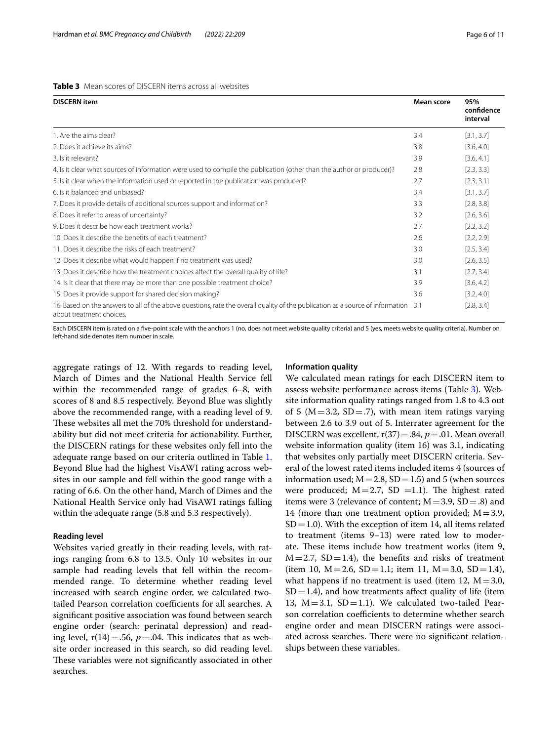#### <span id="page-5-0"></span>**Table 3** Mean scores of DISCERN items across all websites

| <b>DISCERN</b> item                                                                                                                                            | Mean score | 95%<br>confidence<br>interval |
|----------------------------------------------------------------------------------------------------------------------------------------------------------------|------------|-------------------------------|
| 1. Are the aims clear?                                                                                                                                         | 3.4        | [3.1, 3.7]                    |
| 2. Does it achieve its aims?                                                                                                                                   | 3.8        | [3.6, 4.0]                    |
| 3. Is it relevant?                                                                                                                                             | 3.9        | [3.6, 4.1]                    |
| 4. Is it clear what sources of information were used to compile the publication (other than the author or producer)?                                           | 2.8        | [2.3, 3.3]                    |
| 5. Is it clear when the information used or reported in the publication was produced?                                                                          | 2.7        | [2.3, 3.1]                    |
| 6. Is it balanced and unbiased?                                                                                                                                | 3.4        | [3.1, 3.7]                    |
| 7. Does it provide details of additional sources support and information?                                                                                      | 3.3        | [2.8, 3.8]                    |
| 8. Does it refer to areas of uncertainty?                                                                                                                      | 3.2        | [2.6, 3.6]                    |
| 9. Does it describe how each treatment works?                                                                                                                  | 2.7        | [2.2, 3.2]                    |
| 10. Does it describe the benefits of each treatment?                                                                                                           | 2.6        | [2.2, 2.9]                    |
| 11. Does it describe the risks of each treatment?                                                                                                              | 3.0        | [2.5, 3.4]                    |
| 12. Does it describe what would happen if no treatment was used?                                                                                               | 3.0        | [2.6, 3.5]                    |
| 13. Does it describe how the treatment choices affect the overall quality of life?                                                                             | 3.1        | [2.7, 3.4]                    |
| 14. Is it clear that there may be more than one possible treatment choice?                                                                                     | 3.9        | [3.6, 4.2]                    |
| 15. Does it provide support for shared decision making?                                                                                                        | 3.6        | [3.2, 4.0]                    |
| 16. Based on the answers to all of the above questions, rate the overall quality of the publication as a source of information 3.1<br>about treatment choices. |            | [2.8, 3.4]                    |

Each DISCERN item is rated on a fve-point scale with the anchors 1 (no, does not meet website quality criteria) and 5 (yes, meets website quality criteria). Number on left-hand side denotes item number in scale.

aggregate ratings of 12. With regards to reading level, March of Dimes and the National Health Service fell within the recommended range of grades 6–8, with scores of 8 and 8.5 respectively. Beyond Blue was slightly above the recommended range, with a reading level of 9. These websites all met the 70% threshold for understandability but did not meet criteria for actionability. Further, the DISCERN ratings for these websites only fell into the adequate range based on our criteria outlined in Table [1](#page-3-0). Beyond Blue had the highest VisAWI rating across websites in our sample and fell within the good range with a rating of 6.6. On the other hand, March of Dimes and the National Health Service only had VisAWI ratings falling within the adequate range (5.8 and 5.3 respectively).

## **Reading level**

Websites varied greatly in their reading levels, with ratings ranging from 6.8 to 13.5. Only 10 websites in our sample had reading levels that fell within the recommended range. To determine whether reading level increased with search engine order, we calculated twotailed Pearson correlation coefficients for all searches. A signifcant positive association was found between search engine order (search: perinatal depression) and reading level,  $r(14) = .56$ ,  $p = .04$ . This indicates that as website order increased in this search, so did reading level. These variables were not significantly associated in other searches.

#### **Information quality**

We calculated mean ratings for each DISCERN item to assess website performance across items (Table [3\)](#page-5-0). Website information quality ratings ranged from 1.8 to 4.3 out of 5 ( $M = 3.2$ ,  $SD = .7$ ), with mean item ratings varying between 2.6 to 3.9 out of 5. Interrater agreement for the DISCERN was excellent, r(37)=.84, *p*=.01. Mean overall website information quality (item 16) was 3.1, indicating that websites only partially meet DISCERN criteria. Several of the lowest rated items included items 4 (sources of information used;  $M = 2.8$ , SD = 1.5) and 5 (when sources were produced;  $M = 2.7$ , SD =1.1). The highest rated items were 3 (relevance of content;  $M = 3.9$ ,  $SD = .8$ ) and 14 (more than one treatment option provided;  $M=3.9$ ,  $SD = 1.0$ ). With the exception of item 14, all items related to treatment (items 9–13) were rated low to moderate. These items include how treatment works (item 9,  $M=2.7$ , SD=1.4), the benefits and risks of treatment (item 10,  $M = 2.6$ ,  $SD = 1.1$ ; item 11,  $M = 3.0$ ,  $SD = 1.4$ ), what happens if no treatment is used (item 12,  $M = 3.0$ ,  $SD = 1.4$ ), and how treatments affect quality of life (item 13,  $M = 3.1$ ,  $SD = 1.1$ ). We calculated two-tailed Pearson correlation coefficients to determine whether search engine order and mean DISCERN ratings were associated across searches. There were no significant relationships between these variables.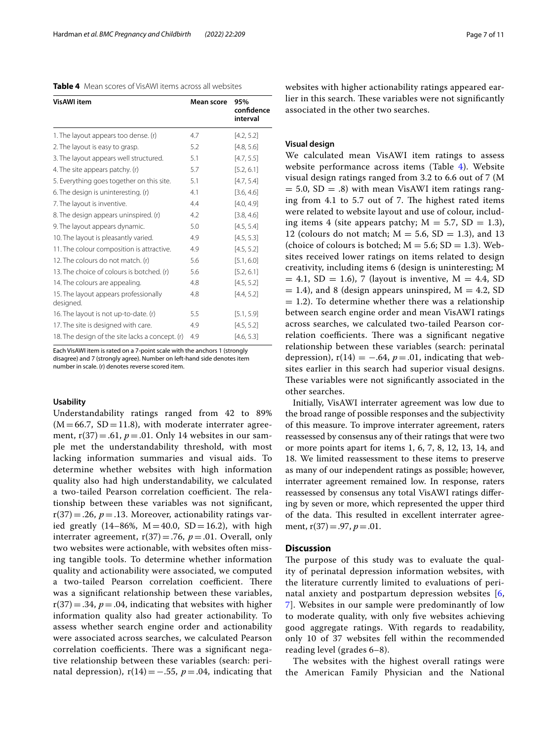<span id="page-6-0"></span>**Table 4** Mean scores of VisAWI items across all websites

| <b>VisAWI</b> item                                 | Mean score | 95%<br>confidence |
|----------------------------------------------------|------------|-------------------|
|                                                    |            | interval          |
| 1. The layout appears too dense. (r)               | 4.7        | [4.2, 5.2]        |
| 2. The layout is easy to grasp.                    | 5.2        | [4.8, 5.6]        |
| 3. The layout appears well structured.             | 5.1        | [4.7, 5.5]        |
| 4. The site appears patchy. (r)                    | 5.7        | [5.2, 6.1]        |
| 5. Everything goes together on this site.          | 5.1        | [4.7, 5.4]        |
| 6. The design is uninteresting. (r)                | 4.1        | [3.6, 4.6]        |
| 7. The layout is inventive.                        | 4.4        | [4.0, 4.9]        |
| 8. The design appears uninspired. (r)              | 4.2        | [3.8, 4.6]        |
| 9. The layout appears dynamic.                     | 5.0        | [4.5, 5.4]        |
| 10. The layout is pleasantly varied.               | 4.9        | [4.5, 5.3]        |
| 11. The colour composition is attractive.          | 4.9        | [4.5, 5.2]        |
| 12. The colours do not match. (r)                  | 5.6        | [5.1, 6.0]        |
| 13. The choice of colours is botched. (r)          | 5.6        | [5.2, 6.1]        |
| 14. The colours are appealing.                     | 4.8        | [4.5, 5.2]        |
| 15. The layout appears professionally<br>designed. | 4.8        | [4.4, 5.2]        |
| 16. The layout is not up-to-date. (r)              | 5.5        | [5.1, 5.9]        |
| 17. The site is designed with care.                | 4.9        | [4.5, 5.2]        |
| 18. The design of the site lacks a concept. (r)    | 4.9        | [4.6, 5.3]        |

Each VisAWI item is rated on a 7-point scale with the anchors 1 (strongly disagree) and 7 (strongly agree). Number on left-hand side denotes item number in scale. (r) denotes reverse scored item.

## **Usability**

Understandability ratings ranged from 42 to 89%  $(M=66.7, SD=11.8)$ , with moderate interrater agreement,  $r(37) = .61$ ,  $p = .01$ . Only 14 websites in our sample met the understandability threshold, with most lacking information summaries and visual aids. To determine whether websites with high information quality also had high understandability, we calculated a two-tailed Pearson correlation coefficient. The relationship between these variables was not signifcant,  $r(37)=.26$ ,  $p=.13$ . Moreover, actionability ratings varied greatly  $(14–86\%, M=40.0, SD=16.2)$ , with high interrater agreement,  $r(37) = .76$ ,  $p = .01$ . Overall, only two websites were actionable, with websites often missing tangible tools. To determine whether information quality and actionability were associated, we computed a two-tailed Pearson correlation coefficient. There was a signifcant relationship between these variables,  $r(37) = .34$ ,  $p = .04$ , indicating that websites with higher information quality also had greater actionability. To assess whether search engine order and actionability were associated across searches, we calculated Pearson correlation coefficients. There was a significant negative relationship between these variables (search: perinatal depression),  $r(14) = -.55$ ,  $p = .04$ , indicating that websites with higher actionability ratings appeared earlier in this search. These variables were not significantly associated in the other two searches.

## **Visual design**

We calculated mean VisAWI item ratings to assess website performance across items (Table [4](#page-6-0)). Website visual design ratings ranged from 3.2 to 6.6 out of 7 (M  $= 5.0, SD = .8$ ) with mean VisAWI item ratings ranging from  $4.1$  to  $5.7$  out of  $7$ . The highest rated items were related to website layout and use of colour, including items 4 (site appears patchy;  $M = 5.7$ ,  $SD = 1.3$ ), 12 (colours do not match;  $M = 5.6$ , SD = 1.3), and 13 (choice of colours is botched;  $M = 5.6$ ;  $SD = 1.3$ ). Websites received lower ratings on items related to design creativity, including items 6 (design is uninteresting; M  $= 4.1, SD = 1.6$ , 7 (layout is inventive, M = 4.4, SD  $= 1.4$ ), and 8 (design appears uninspired,  $M = 4.2$ , SD  $= 1.2$ ). To determine whether there was a relationship between search engine order and mean VisAWI ratings across searches, we calculated two-tailed Pearson correlation coefficients. There was a significant negative relationship between these variables (search: perinatal depression),  $r(14) = -.64$ ,  $p = .01$ , indicating that websites earlier in this search had superior visual designs. These variables were not significantly associated in the other searches.

Initially, VisAWI interrater agreement was low due to the broad range of possible responses and the subjectivity of this measure. To improve interrater agreement, raters reassessed by consensus any of their ratings that were two or more points apart for items 1, 6, 7, 8, 12, 13, 14, and 18. We limited reassessment to these items to preserve as many of our independent ratings as possible; however, interrater agreement remained low. In response, raters reassessed by consensus any total VisAWI ratings difering by seven or more, which represented the upper third of the data. This resulted in excellent interrater agreement, r(37)=.97, *p*=.01.

## **Discussion**

The purpose of this study was to evaluate the quality of perinatal depression information websites, with the literature currently limited to evaluations of perinatal anxiety and postpartum depression websites [\[6](#page-8-3), [7\]](#page-9-0). Websites in our sample were predominantly of low to moderate quality, with only fve websites achieving good aggregate ratings. With regards to readability, only 10 of 37 websites fell within the recommended reading level (grades 6–8).

The websites with the highest overall ratings were the American Family Physician and the National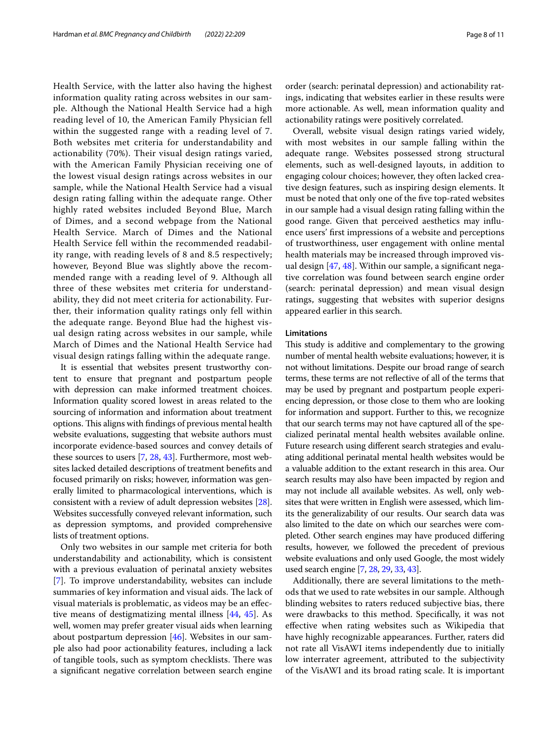Health Service, with the latter also having the highest information quality rating across websites in our sample. Although the National Health Service had a high reading level of 10, the American Family Physician fell within the suggested range with a reading level of 7. Both websites met criteria for understandability and actionability (70%). Their visual design ratings varied, with the American Family Physician receiving one of the lowest visual design ratings across websites in our sample, while the National Health Service had a visual design rating falling within the adequate range. Other highly rated websites included Beyond Blue, March of Dimes, and a second webpage from the National Health Service. March of Dimes and the National Health Service fell within the recommended readability range, with reading levels of 8 and 8.5 respectively; however, Beyond Blue was slightly above the recommended range with a reading level of 9. Although all three of these websites met criteria for understandability, they did not meet criteria for actionability. Further, their information quality ratings only fell within the adequate range. Beyond Blue had the highest visual design rating across websites in our sample, while March of Dimes and the National Health Service had visual design ratings falling within the adequate range.

It is essential that websites present trustworthy content to ensure that pregnant and postpartum people with depression can make informed treatment choices. Information quality scored lowest in areas related to the sourcing of information and information about treatment options. This aligns with findings of previous mental health website evaluations, suggesting that website authors must incorporate evidence-based sources and convey details of these sources to users [\[7](#page-9-0), [28,](#page-9-18) [43\]](#page-9-32). Furthermore, most websites lacked detailed descriptions of treatment benefts and focused primarily on risks; however, information was generally limited to pharmacological interventions, which is consistent with a review of adult depression websites [[28](#page-9-18)]. Websites successfully conveyed relevant information, such as depression symptoms, and provided comprehensive lists of treatment options.

Only two websites in our sample met criteria for both understandability and actionability, which is consistent with a previous evaluation of perinatal anxiety websites [[7\]](#page-9-0). To improve understandability, websites can include summaries of key information and visual aids. The lack of visual materials is problematic, as videos may be an efective means of destigmatizing mental illness [\[44,](#page-9-33) [45\]](#page-10-0). As well, women may prefer greater visual aids when learning about postpartum depression [\[46](#page-10-1)]. Websites in our sample also had poor actionability features, including a lack of tangible tools, such as symptom checklists. There was a signifcant negative correlation between search engine order (search: perinatal depression) and actionability ratings, indicating that websites earlier in these results were more actionable. As well, mean information quality and actionability ratings were positively correlated.

Overall, website visual design ratings varied widely, with most websites in our sample falling within the adequate range. Websites possessed strong structural elements, such as well-designed layouts, in addition to engaging colour choices; however, they often lacked creative design features, such as inspiring design elements. It must be noted that only one of the fve top-rated websites in our sample had a visual design rating falling within the good range. Given that perceived aesthetics may infuence users' frst impressions of a website and perceptions of trustworthiness, user engagement with online mental health materials may be increased through improved visual design [\[47](#page-10-2), [48\]](#page-10-3). Within our sample, a signifcant negative correlation was found between search engine order (search: perinatal depression) and mean visual design ratings, suggesting that websites with superior designs appeared earlier in this search.

## **Limitations**

This study is additive and complementary to the growing number of mental health website evaluations; however, it is not without limitations. Despite our broad range of search terms, these terms are not refective of all of the terms that may be used by pregnant and postpartum people experiencing depression, or those close to them who are looking for information and support. Further to this, we recognize that our search terms may not have captured all of the specialized perinatal mental health websites available online. Future research using diferent search strategies and evaluating additional perinatal mental health websites would be a valuable addition to the extant research in this area. Our search results may also have been impacted by region and may not include all available websites. As well, only websites that were written in English were assessed, which limits the generalizability of our results. Our search data was also limited to the date on which our searches were completed. Other search engines may have produced difering results, however, we followed the precedent of previous website evaluations and only used Google, the most widely used search engine [[7](#page-9-0), [28](#page-9-18), [29,](#page-9-19) [33,](#page-9-23) [43\]](#page-9-32).

Additionally, there are several limitations to the methods that we used to rate websites in our sample. Although blinding websites to raters reduced subjective bias, there were drawbacks to this method. Specifcally, it was not efective when rating websites such as Wikipedia that have highly recognizable appearances. Further, raters did not rate all VisAWI items independently due to initially low interrater agreement, attributed to the subjectivity of the VisAWI and its broad rating scale. It is important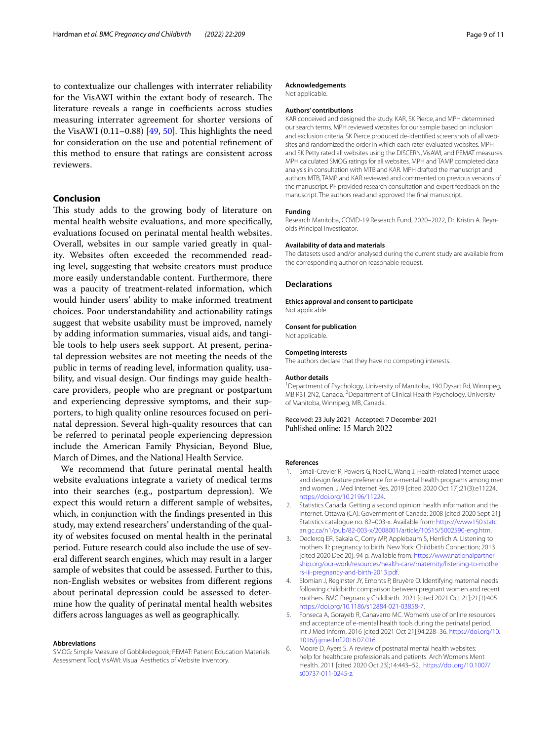to contextualize our challenges with interrater reliability for the VisAWI within the extant body of research. The literature reveals a range in coefficients across studies measuring interrater agreement for shorter versions of the VisAWI  $(0.11-0.88)$  [\[49](#page-10-4), [50\]](#page-10-5). This highlights the need for consideration on the use and potential refnement of this method to ensure that ratings are consistent across reviewers.

## **Conclusion**

This study adds to the growing body of literature on mental health website evaluations, and more specifcally, evaluations focused on perinatal mental health websites. Overall, websites in our sample varied greatly in quality. Websites often exceeded the recommended reading level, suggesting that website creators must produce more easily understandable content. Furthermore, there was a paucity of treatment-related information, which would hinder users' ability to make informed treatment choices. Poor understandability and actionability ratings suggest that website usability must be improved, namely by adding information summaries, visual aids, and tangible tools to help users seek support. At present, perinatal depression websites are not meeting the needs of the public in terms of reading level, information quality, usability, and visual design. Our fndings may guide healthcare providers, people who are pregnant or postpartum and experiencing depressive symptoms, and their supporters, to high quality online resources focused on perinatal depression. Several high-quality resources that can be referred to perinatal people experiencing depression include the American Family Physician, Beyond Blue, March of Dimes, and the National Health Service.

We recommend that future perinatal mental health website evaluations integrate a variety of medical terms into their searches (e.g., postpartum depression). We expect this would return a diferent sample of websites, which, in conjunction with the fndings presented in this study, may extend researchers' understanding of the quality of websites focused on mental health in the perinatal period. Future research could also include the use of several diferent search engines, which may result in a larger sample of websites that could be assessed. Further to this, non-English websites or websites from diferent regions about perinatal depression could be assessed to determine how the quality of perinatal mental health websites difers across languages as well as geographically.

#### **Abbreviations**

SMOG: Simple Measure of Gobbledegook; PEMAT: Patient Education Materials Assessment Tool; VisAWI: Visual Aesthetics of Website Inventory.

#### **Acknowledgements**

Not applicable.

### **Authors' contributions**

KAR conceived and designed the study. KAR, SK Pierce, and MPH determined our search terms. MPH reviewed websites for our sample based on inclusion and exclusion criteria. SK Pierce produced de-identifed screenshots of all websites and randomized the order in which each rater evaluated websites. MPH and SK Petty rated all websites using the DISCERN, VisAWI, and PEMAT measures. MPH calculated SMOG ratings for all websites. MPH and TAMP completed data analysis in consultation with MTB and KAR. MPH drafted the manuscript and authors MTB, TAMP, and KAR reviewed and commented on previous versions of the manuscript. PF provided research consultation and expert feedback on the manuscript. The authors read and approved the fnal manuscript.

#### **Funding**

Research Manitoba, COVID-19 Research Fund, 2020–2022, Dr. Kristin A. Reynolds Principal Investigator.

#### **Availability of data and materials**

The datasets used and/or analysed during the current study are available from the corresponding author on reasonable request.

## **Declarations**

**Ethics approval and consent to participate** Not applicable.

#### **Consent for publication**

Not applicable.

#### **Competing interests**

The authors declare that they have no competing interests.

#### **Author details**

<sup>1</sup> Department of Psychology, University of Manitoba, 190 Dysart Rd, Winnipeg, MB R3T 2N2, Canada. <sup>2</sup> Department of Clinical Health Psychology, University of Manitoba, Winnipeg, MB, Canada.

Received: 23 July 2021 Accepted: 7 December 2021

#### **References**

- <span id="page-8-0"></span>1. Smail-Crevier R, Powers G, Noel C, Wang J. Health-related Internet usage and design feature preference for e-mental health programs among men and women. J Med Internet Res. 2019 [cited 2020 Oct 17];21(3):e11224. [https://doi.org/10.2196/11224.](https://doi.org/10.2196/11224)
- 2. Statistics Canada. Getting a second opinion: health information and the Internet. Ottawa (CA): Government of Canada; 2008 [cited 2020 Sept 21]. Statistics catalogue no. 82–003-x. Available from: [https://www150.statc](https://www150.statcan.gc.ca/n1/pub/82-003-x/2008001/article/10515/5002590-eng.htm) [an.gc.ca/n1/pub/82-003-x/2008001/article/10515/5002590-eng.htm.](https://www150.statcan.gc.ca/n1/pub/82-003-x/2008001/article/10515/5002590-eng.htm)
- 3. Declercq ER, Sakala C, Corry MP, Applebaum S, Herrlich A. Listening to mothers III: pregnancy to birth. New York: Childbirth Connection; 2013 [cited 2020 Dec 20]. 94 p. Available from: [https://www.nationalpartner](https://www.nationalpartnership.org/our-work/resources/health-care/maternity/listening-to-mothers-iii-pregnancy-and-birth-2013.pdf) [ship.org/our-work/resources/health-care/maternity/listening-to-mothe](https://www.nationalpartnership.org/our-work/resources/health-care/maternity/listening-to-mothers-iii-pregnancy-and-birth-2013.pdf) [rs-iii-pregnancy-and-birth-2013.pdf.](https://www.nationalpartnership.org/our-work/resources/health-care/maternity/listening-to-mothers-iii-pregnancy-and-birth-2013.pdf)
- <span id="page-8-1"></span>4. Slomian J, Reginster JY, Emonts P, Bruyère O. Identifying maternal needs following childbirth: comparison between pregnant women and recent mothers. BMC Pregnancy Childbirth. 2021 [cited 2021 Oct 21];21(1):405. <https://doi.org/10.1186/s12884-021-03858-7>.
- <span id="page-8-2"></span>5. Fonseca A, Gorayeb R, Canavarro MC. Women's use of online resources and acceptance of e-mental health tools during the perinatal period. Int J Med Inform. 2016 [cited 2021 Oct 21];94:228–36. [https://doi.org/10.](https://doi.org/10.1016/j.ijmedinf.2016.07.016) [1016/j.ijmedinf.2016.07.016](https://doi.org/10.1016/j.ijmedinf.2016.07.016).
- <span id="page-8-3"></span>6. Moore D, Ayers S. A review of postnatal mental health websites: help for healthcare professionals and patients. Arch Womens Ment Health. 2011 [cited 2020 Oct 23];14:443–52. [https://doi.org/10.1007/](https://doi.org/10.1007/s00737-011-0245-z) [s00737-011-0245-z](https://doi.org/10.1007/s00737-011-0245-z).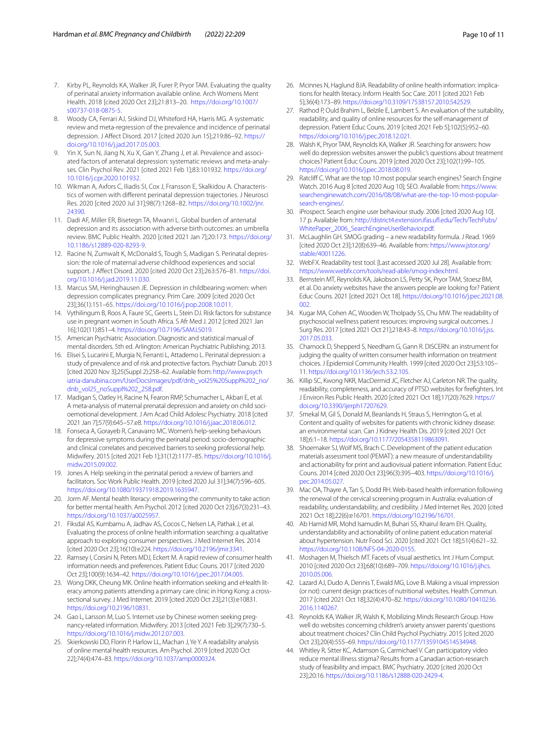- <span id="page-9-0"></span>7. Kirby PL, Reynolds KA, Walker JR, Furer P, Pryor TAM. Evaluating the quality of perinatal anxiety information available online. Arch Womens Ment Health. 2018 [cited 2020 Oct 23];21:813–20. [https://doi.org/10.1007/](https://doi.org/10.1007/s00737-018-0875-5) [s00737-018-0875-5.](https://doi.org/10.1007/s00737-018-0875-5)
- <span id="page-9-1"></span>8. Woody CA, Ferrari AJ, Siskind DJ, Whiteford HA, Harris MG. A systematic review and meta-regression of the prevalence and incidence of perinatal depression. J Afect Disord. 2017 [cited 2020 Jun 15];219:86–92. [https://](https://doi.org/10.1016/j.jad.2017.05.003) [doi.org/10.1016/j.jad.2017.05.003](https://doi.org/10.1016/j.jad.2017.05.003).
- <span id="page-9-2"></span>Yin X, Sun N, Jiang N, Xu X, Gan Y, Zhang J, et al. Prevalence and associated factors of antenatal depression: systematic reviews and meta-analyses. Clin Psychol Rev. 2021 [cited 2021 Feb 1];83:101932. [https://doi.org/](https://doi.org/10.1016/j.cpr.2020.101932) [10.1016/j.cpr.2020.101932.](https://doi.org/10.1016/j.cpr.2020.101932)
- <span id="page-9-3"></span>10. Wikman A, Axfors C, Iliadis SI, Cox J, Fransson E, Skalkidou A. Characteristics of women with diferent perinatal depression trajectories. J Neurosci Res. 2020 [cited 2020 Jul 31];98(7):1268–82. [https://doi.org/10.1002/jnr.](https://doi.org/10.1002/jnr.24390) [24390.](https://doi.org/10.1002/jnr.24390)
- <span id="page-9-4"></span>11. Dadi AF, Miller ER, Bisetegn TA, Mwanri L. Global burden of antenatal depression and its association with adverse birth outcomes: an umbrella review. BMC Public Health. 2020 [cited 2021 Jan 7];20:173. [https://doi.org/](https://doi.org/10.1186/s12889-020-8293-9) [10.1186/s12889-020-8293-9.](https://doi.org/10.1186/s12889-020-8293-9)
- <span id="page-9-5"></span>12. Racine N, Zumwalt K, McDonald S, Tough S, Madigan S. Perinatal depression: the role of maternal adverse childhood experiences and social support. J Afect Disord. 2020 [cited 2020 Oct 23];263:576–81. [https://doi.](https://doi.org/10.1016/j.jad.2019.11.030) [org/10.1016/j.jad.2019.11.030](https://doi.org/10.1016/j.jad.2019.11.030).
- <span id="page-9-6"></span>13. Marcus SM, Heringhausen JE. Depression in childbearing women: when depression complicates pregnancy. Prim Care. 2009 [cited 2020 Oct 23];36(1):151–65. <https://doi.org/10.1016/j.pop.2008.10.011>.
- 14. Vythilingum B, Roos A, Faure SC, Geerts L, Stein DJ. Risk factors for substance use in pregnant women in South Africa. S Afr Med J. 2012 [cited 2021 Jan 16];102(11):851–4. [https://doi.org/10.7196/SAMJ.5019.](https://doi.org/10.7196/SAMJ.5019)
- 15. American Psychiatric Association. Diagnostic and statistical manual of mental disorders. 5th ed. Arlington: American Psychiatric Publishing; 2013.
- 16. Elisei S, Lucarini E, Murgia N, Ferranti L, Attademo L. Perinatal depression: a study of prevalence and of risk and protective factors. Psychiatr Danub. 2013 [cited 2020 Nov 3];25(Suppl 2):258–62. Available from: [http://www.psych](http://www.psychiatria-danubina.com/UserDocsImages/pdf/dnb_vol25%20Suppl%202_no/dnb_vol25_noSuppl%202_258.pdf) [iatria-danubina.com/UserDocsImages/pdf/dnb\\_vol25%20Suppl%202\\_no/](http://www.psychiatria-danubina.com/UserDocsImages/pdf/dnb_vol25%20Suppl%202_no/dnb_vol25_noSuppl%202_258.pdf) [dnb\\_vol25\\_noSuppl%202\\_258.pdf](http://www.psychiatria-danubina.com/UserDocsImages/pdf/dnb_vol25%20Suppl%202_no/dnb_vol25_noSuppl%202_258.pdf).
- <span id="page-9-7"></span>17. Madigan S, Oatley H, Racine N, Fearon RMP, Schumacher L, Akbari E, et al. A meta-analysis of maternal prenatal depression and anxiety on child socioemotional development. J Am Acad Child Adolesc Psychiatry. 2018 [cited 2021 Jan 7];57(9):645–57.e8.<https://doi.org/10.1016/j.jaac.2018.06.012>.
- <span id="page-9-8"></span>18. Fonseca A, Gorayeb R, Canavarro MC. Women's help-seeking behaviours for depressive symptoms during the perinatal period: socio-demographic and clinical correlates and perceived barriers to seeking professional help. Midwifery. 2015 [cited 2021 Feb 1];31(12):1177–85. [https://doi.org/10.1016/j.](https://doi.org/10.1016/j.midw.2015.09.002) [midw.2015.09.002.](https://doi.org/10.1016/j.midw.2015.09.002)
- <span id="page-9-9"></span>19. Jones A. Help seeking in the perinatal period: a review of barriers and facilitators. Soc Work Public Health. 2019 [cited 2020 Jul 31];34(7):596–605. [https://doi.org/10.1080/19371918.2019.1635947.](https://doi.org/10.1080/19371918.2019.1635947)
- <span id="page-9-10"></span>20. Jorm AF. Mental health literacy: empowering the community to take action for better mental health. Am Psychol. 2012 [cited 2020 Oct 23];67(3):231–43. <https://doi.org/10.1037/a0025957>.
- <span id="page-9-11"></span>21. Fiksdal AS, Kumbamu A, Jadhav AS, Cocos C, Nelsen LA, Pathak J, et al. Evaluating the process of online health information searching: a qualitative approach to exploring consumer perspectives. J Med Internet Res. 2014 [cited 2020 Oct 23];16(10):e224. <https://doi.org/10.2196/jmir.3341>.
- <span id="page-9-12"></span>22. Ramsey I, Corsini N, Peters MDJ, Eckert M. A rapid review of consumer health information needs and preferences. Patient Educ Couns. 2017 [cited 2020 Oct 23];100(9):1634–42. <https://doi.org/10.1016/j.pec.2017.04.005>.
- <span id="page-9-13"></span>23. Wong DKK, Cheung MK. Online health information seeking and eHealth literacy among patients attending a primary care clinic in Hong Kong: a crosssectional survey. J Med Internet. 2019 [cited 2020 Oct 23];21(3):e10831. [https://doi.org/10.2196/10831.](https://doi.org/10.2196/10831)
- <span id="page-9-14"></span>24. Gao L, Larsson M, Luo S. Internet use by Chinese women seeking pregnancy-related information. Midwifery. 2013 [cited 2021 Feb 3];29(7):730–5. [https://doi.org/10.1016/j.midw.2012.07.003.](https://doi.org/10.1016/j.midw.2012.07.003)
- <span id="page-9-15"></span>25. Skierkowski DD, Florin P, Harlow LL, Machan J, Ye Y. A readability analysis of online mental health resources. Am Psychol. 2019 [cited 2020 Oct 22];74(4):474–83. <https://doi.org/10.1037/amp0000324>.
- <span id="page-9-16"></span>26. Mcinnes N, Haglund BJA. Readability of online health information: implications for health literacy. Inform Health Soc Care. 2011 [cited 2021 Feb 5];36(4):173–89. [https://doi.org/10.3109/17538157.2010.542529.](https://doi.org/10.3109/17538157.2010.542529)
- <span id="page-9-17"></span>27. Rathod P, Ould Brahim L, Belzile E, Lambert S. An evaluation of the suitability, readability, and quality of online resources for the self-management of depression. Patient Educ Couns. 2019 [cited 2021 Feb 5];102(5):952–60. <https://doi.org/10.1016/j.pec.2018.12.021>.
- <span id="page-9-18"></span>28. Walsh K, Pryor TAM, Reynolds KA, Walker JR. Searching for answers: how well do depression websites answer the public's questions about treatment choices? Patient Educ Couns. 2019 [cited 2020 Oct 23];102(1):99–105. <https://doi.org/10.1016/j.pec.2018.08.019>.
- <span id="page-9-19"></span>29. Ratcliff C. What are the top 10 most popular search engines? Search Engine Watch. 2016 Aug 8 [cited 2020 Aug 10]; SEO. Available from: [https://www.](https://www.searchenginewatch.com/2016/08/08/what-are-the-top-10-most-popular-search-engines/) [searchenginewatch.com/2016/08/08/what-are-the-top-10-most-popular](https://www.searchenginewatch.com/2016/08/08/what-are-the-top-10-most-popular-search-engines/)[search-engines/](https://www.searchenginewatch.com/2016/08/08/what-are-the-top-10-most-popular-search-engines/).
- <span id="page-9-20"></span>30. iProspect. Search engine user behaviour study. 2006 [cited 2020 Aug 10]. 17 p. Available from: [http://district4.extension.ifas.uf.edu/Tech/TechPubs/](http://district4.extension.ifas.ufl.edu/Tech/TechPubs/WhitePaper_2006_SearchEngineUserBehavior.pdf) [WhitePaper\\_2006\\_SearchEngineUserBehavior.pdf.](http://district4.extension.ifas.ufl.edu/Tech/TechPubs/WhitePaper_2006_SearchEngineUserBehavior.pdf)
- <span id="page-9-21"></span>31. McLaughlin GH. SMOG grading – a new readability formula. J Read. 1969 [cited 2020 Oct 23];12(8):639–46. Available from: [https://www.jstor.org/](https://www.jstor.org/stable/40011226) [stable/40011226.](https://www.jstor.org/stable/40011226)
- <span id="page-9-22"></span>32. WebFX. Readability test tool. [Last accessed 2020 Jul 28]. Available from: [https://www.webfx.com/tools/read-able/smog-index.html.](https://www.webfx.com/tools/read-able/smog-index.html)
- <span id="page-9-23"></span>33. Bernstein MT, Reynolds KA, Jakobson LS, Petty SK, Pryor TAM, Stoesz BM, et al. Do anxiety websites have the answers people are looking for? Patient Educ Couns. 2021 [cited 2021 Oct 18]. [https://doi.org/10.1016/j.pec.2021.08.](https://doi.org/10.1016/j.pec.2021.08.002)  $0<sub>0</sub>$
- <span id="page-9-24"></span>34. Kugar MA, Cohen AC, Wooden W, Tholpady SS, Chu MW. The readability of psychosocial wellness patient resources: improving surgical outcomes. J Surg Res. 2017 [cited 2021 Oct 21];218:43–8. [https://doi.org/10.1016/j.jss.](https://doi.org/10.1016/j.jss.2017.05.033) [2017.05.033](https://doi.org/10.1016/j.jss.2017.05.033).
- <span id="page-9-25"></span>35. Charnock D, Shepperd S, Needham G, Gann R. DISCERN: an instrument for judging the quality of written consumer health information on treatment choices. J Epidemiol Community Health. 1999 [cited 2020 Oct 23];53:105– 11. <https://doi.org/10.1136/jech.53.2.105>.
- 36. Killip SC, Kwong NKR, MacDermid JC, Fletcher AJ, Carleton NR. The quality, readability, completeness, and accuracy of PTSD websites for frefghters. Int J Environ Res Public Health. 2020 [cited 2021 Oct 18];17(20):7629. [https://](https://doi.org/10.3390/ijerph17207629) [doi.org/10.3390/ijerph17207629.](https://doi.org/10.3390/ijerph17207629)
- <span id="page-9-26"></span>37. Smekal M, Gil S, Donald M, Beanlands H, Straus S, Herrington G, et al. Content and quality of websites for patients with chronic kidney disease: an environmental scan. Can J Kidney Health Dis. 2019 [cited 2021 Oct 18];6:1–18. [https://doi.org/10.1177/2054358119863091.](https://doi.org/10.1177/2054358119863091)
- <span id="page-9-27"></span>38. Shoemaker SJ, Wolf MS, Brach C. Development of the patient education materials assessment tool (PEMAT): a new measure of understandability and actionability for print and audiovisual patient information. Patient Educ Couns. 2014 [cited 2020 Oct 23];96(3):395–403. [https://doi.org/10.1016/j.](https://doi.org/10.1016/j.pec.2014.05.027) [pec.2014.05.027](https://doi.org/10.1016/j.pec.2014.05.027).
- <span id="page-9-28"></span>39. Mac OA, Thayre A, Tan S, Dodd RH. Web-based health information following the renewal of the cervical screening program in Australia: evaluation of readability, understandability, and credibility. J Med Internet Res. 2020 [cited 2021 Oct 18];22(6):e16701.<https://doi.org/10.2196/16701>.
- <span id="page-9-29"></span>40. Ab Hamid MR, Mohd Isamudin M, Buhari SS, Khairul Ikram EH. Quality, understandability and actionability of online patient education material about hypertension. Nutr Food Sci. 2020 [cited 2021 Oct 18];51(4):621–32. <https://doi.org/10.1108/NFS-04-2020-0155>.
- <span id="page-9-30"></span>41. Moshagen M, Thielsch MT. Facets of visual aesthetics. Int J Hum Comput. 2010 [cited 2020 Oct 23];68(10):689–709. [https://doi.org/10.1016/j.ijhcs.](https://doi.org/10.1016/j.ijhcs.2010.05.006) [2010.05.006](https://doi.org/10.1016/j.ijhcs.2010.05.006).
- <span id="page-9-31"></span>42. Lazard AJ, Dudo A, Dennis T, Ewald MG, Love B. Making a visual impression (or not): current design practices of nutritional websites. Health Commun. 2017 [cited 2021 Oct 18];32(4):470–82. [https://doi.org/10.1080/10410236.](https://doi.org/10.1080/10410236.2016.1140267) [2016.1140267](https://doi.org/10.1080/10410236.2016.1140267).
- <span id="page-9-32"></span>43. Reynolds KA, Walker JR, Walsh K, Mobilizing Minds Research Group. How well do websites concerning children's anxiety answer parents' questions about treatment choices? Clin Child Psychol Psychiatry. 2015 [cited 2020 Oct 23];20(4):555–69. [https://doi.org/10.1177/1359104514534948.](https://doi.org/10.1177/1359104514534948)
- <span id="page-9-33"></span>44. Whitley R, Sitter KC, Adamson G, Carmichael V. Can participatory video reduce mental illness stigma? Results from a Canadian action-research study of feasibility and impact. BMC Psychiatry. 2020 [cited 2020 Oct 23];20:16. [https://doi.org/10.1186/s12888-020-2429-4.](https://doi.org/10.1186/s12888-020-2429-4)